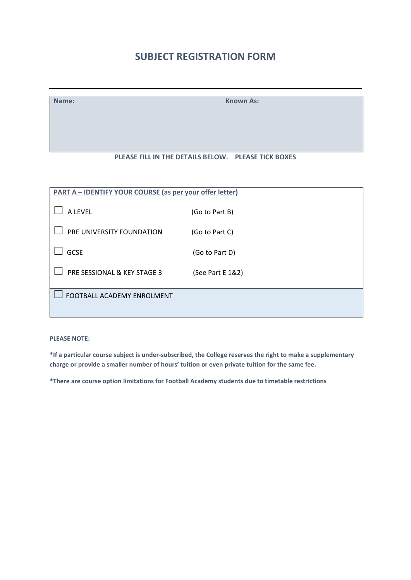# **SUBJECT REGISTRATION FORM**

**Name:** Known As:

## **PLEASE FILL IN THE DETAILS BELOW. PLEASE TICK BOXES**

| PART A - IDENTIFY YOUR COURSE (as per your offer letter) |                  |  |
|----------------------------------------------------------|------------------|--|
| A LEVEL                                                  | (Go to Part B)   |  |
| PRE UNIVERSITY FOUNDATION                                | (Go to Part C)   |  |
| <b>GCSE</b>                                              | (Go to Part D)   |  |
| PRE SESSIONAL & KEY STAGE 3                              | (See Part E 1&2) |  |
| FOOTBALL ACADEMY ENROLMENT                               |                  |  |
|                                                          |                  |  |

**PLEASE NOTE:**

**\*If a particular course subject is under-subscribed, the College reserves the right to make a supplementary charge or provide a smaller number of hours' tuition or even private tuition for the same fee.**

**\*There are course option limitations for Football Academy students due to timetable restrictions**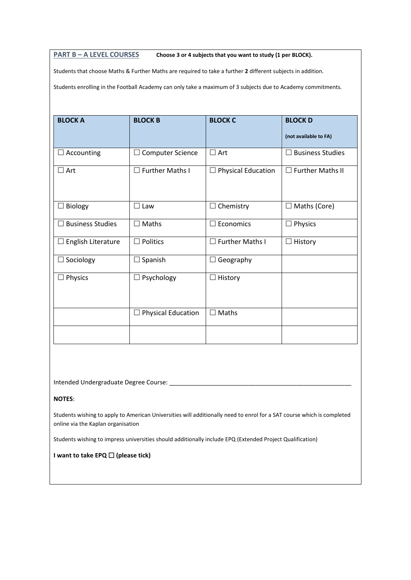#### **PART B – A LEVEL COURSES Choose 3 or 4 subjects that you want to study (1 per BLOCK).**

Students that choose Maths & Further Maths are required to take a further **2** different subjects in addition.

Students enrolling in the Football Academy can only take a maximum of 3 subjects due to Academy commitments.

| <b>BLOCK A</b>                     | <b>BLOCK B</b>               | <b>BLOCK C</b>                             | <b>BLOCKD</b><br>(not available to FA) |
|------------------------------------|------------------------------|--------------------------------------------|----------------------------------------|
| $\Box$ Accounting                  | <b>Computer Science</b><br>⊔ | $\square$ Art                              | <b>Business Studies</b>                |
| $\Box$ Art                         | $\Box$ Further Maths I       | <b>Physical Education</b><br>$\mathcal{L}$ | $\Box$ Further Maths II                |
| Biology<br>ப                       | $\Box$ Law                   | Chemistry<br>$\overline{\phantom{a}}$      | $\Box$ Maths (Core)                    |
| <b>Business Studies</b><br>$\perp$ | $\Box$ Maths                 | Economics<br>┓                             | $\Box$ Physics                         |
| English Literature<br>⊔            | Politics                     | <b>Further Maths I</b>                     | History                                |
| Sociology                          | Spanish                      | Geography                                  |                                        |
| Physics                            | Psychology                   | History<br>×.                              |                                        |
|                                    | <b>Physical Education</b>    | Maths<br>×.                                |                                        |
|                                    |                              |                                            |                                        |

Intended Undergraduate Degree Course: \_\_\_\_\_\_\_\_\_\_\_\_\_\_\_\_\_\_\_\_\_\_\_\_\_\_\_\_\_\_\_\_\_\_\_\_\_\_\_\_\_\_\_\_\_\_\_\_\_\_\_\_\_

#### **NOTES**:

Students wishing to apply to American Universities will additionally need to enrol for a SAT course which is completed online via the Kaplan organisation

Students wishing to impress universities should additionally include EPQ (Extended Project Qualification)

#### **I** want to take EPQ □ (please tick)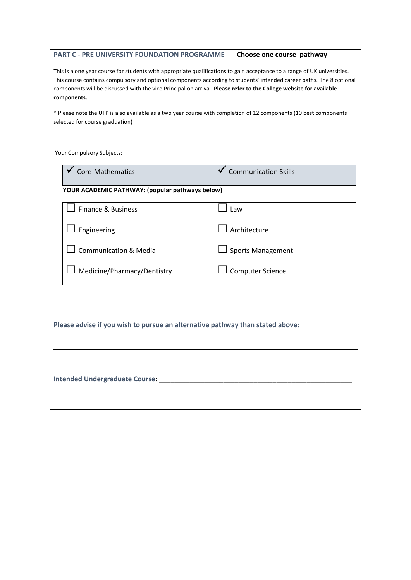#### **PART C - PRE UNIVERSITY FOUNDATION PROGRAMME Choose one course pathway**

This is a one year course for students with appropriate qualifications to gain acceptance to a range of UK universities. This course contains compulsory and optional components according to students' intended career paths. The 8 optional components will be discussed with the vice Principal on arrival. **Please refer to the College website for available components.**

\* Please note the UFP is also available as a two year course with completion of 12 components (10 best components selected for course graduation)

Your Compulsory Subjects:

l,

| Core Mathematics                                                              | <b>Communication Skills</b> |  |  |  |
|-------------------------------------------------------------------------------|-----------------------------|--|--|--|
| YOUR ACADEMIC PATHWAY: (popular pathways below)                               |                             |  |  |  |
| Finance & Business                                                            | $\Box$ Law                  |  |  |  |
| Engineering                                                                   | Architecture                |  |  |  |
| <b>Communication &amp; Media</b>                                              | <b>Sports Management</b>    |  |  |  |
| Medicine/Pharmacy/Dentistry                                                   | <b>Computer Science</b>     |  |  |  |
| Please advise if you wish to pursue an alternative pathway than stated above: |                             |  |  |  |
|                                                                               |                             |  |  |  |
| <b>Intended Undergraduate Course:</b>                                         |                             |  |  |  |
|                                                                               |                             |  |  |  |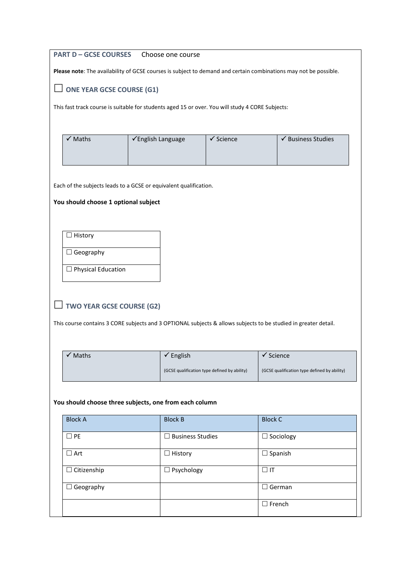| <b>PART D - GCSE COURSES</b>                                                                                    | Choose one course                                                                                                |                                              |                                              |  |  |
|-----------------------------------------------------------------------------------------------------------------|------------------------------------------------------------------------------------------------------------------|----------------------------------------------|----------------------------------------------|--|--|
|                                                                                                                 | Please note: The availability of GCSE courses is subject to demand and certain combinations may not be possible. |                                              |                                              |  |  |
| $\Box$ ONE YEAR GCSE COURSE (G1)                                                                                |                                                                                                                  |                                              |                                              |  |  |
| This fast track course is suitable for students aged 15 or over. You will study 4 CORE Subjects:                |                                                                                                                  |                                              |                                              |  |  |
|                                                                                                                 |                                                                                                                  |                                              |                                              |  |  |
| √ Maths                                                                                                         | √English Language                                                                                                | $\checkmark$ Science                         | ✔ Business Studies                           |  |  |
|                                                                                                                 |                                                                                                                  |                                              |                                              |  |  |
|                                                                                                                 |                                                                                                                  |                                              |                                              |  |  |
| Each of the subjects leads to a GCSE or equivalent qualification.                                               |                                                                                                                  |                                              |                                              |  |  |
| You should choose 1 optional subject                                                                            |                                                                                                                  |                                              |                                              |  |  |
|                                                                                                                 |                                                                                                                  |                                              |                                              |  |  |
| $\Box$ History                                                                                                  |                                                                                                                  |                                              |                                              |  |  |
| $\Box$ Geography                                                                                                |                                                                                                                  |                                              |                                              |  |  |
|                                                                                                                 |                                                                                                                  |                                              |                                              |  |  |
| $\Box$ Physical Education                                                                                       |                                                                                                                  |                                              |                                              |  |  |
|                                                                                                                 |                                                                                                                  |                                              |                                              |  |  |
| $\Box$ TWO YEAR GCSE COURSE (G2)                                                                                |                                                                                                                  |                                              |                                              |  |  |
| This course contains 3 CORE subjects and 3 OPTIONAL subjects & allows subjects to be studied in greater detail. |                                                                                                                  |                                              |                                              |  |  |
|                                                                                                                 |                                                                                                                  |                                              |                                              |  |  |
| $\checkmark$ Maths                                                                                              | $\checkmark$ English                                                                                             | $\sqrt{\ }$ Science                          |                                              |  |  |
|                                                                                                                 |                                                                                                                  | (GCSE qualification type defined by ability) | (GCSE qualification type defined by ability) |  |  |
|                                                                                                                 |                                                                                                                  |                                              |                                              |  |  |
| You should choose three subjects, one from each column                                                          |                                                                                                                  |                                              |                                              |  |  |
| <b>Block A</b>                                                                                                  | <b>Block B</b>                                                                                                   | <b>Block C</b>                               |                                              |  |  |
| $\Box$ PE                                                                                                       | $\Box$ Business Studies                                                                                          |                                              | $\Box$ Sociology                             |  |  |
| $\Box$ Art                                                                                                      | $\Box$ History                                                                                                   |                                              | $\Box$ Spanish                               |  |  |
| $\Box$ Citizenship                                                                                              | $\Box$ Psychology                                                                                                | $\Box$ IT                                    |                                              |  |  |
| $\Box$ Geography                                                                                                |                                                                                                                  |                                              | $\Box$ German                                |  |  |
|                                                                                                                 |                                                                                                                  |                                              |                                              |  |  |
| $\square$ French                                                                                                |                                                                                                                  |                                              |                                              |  |  |